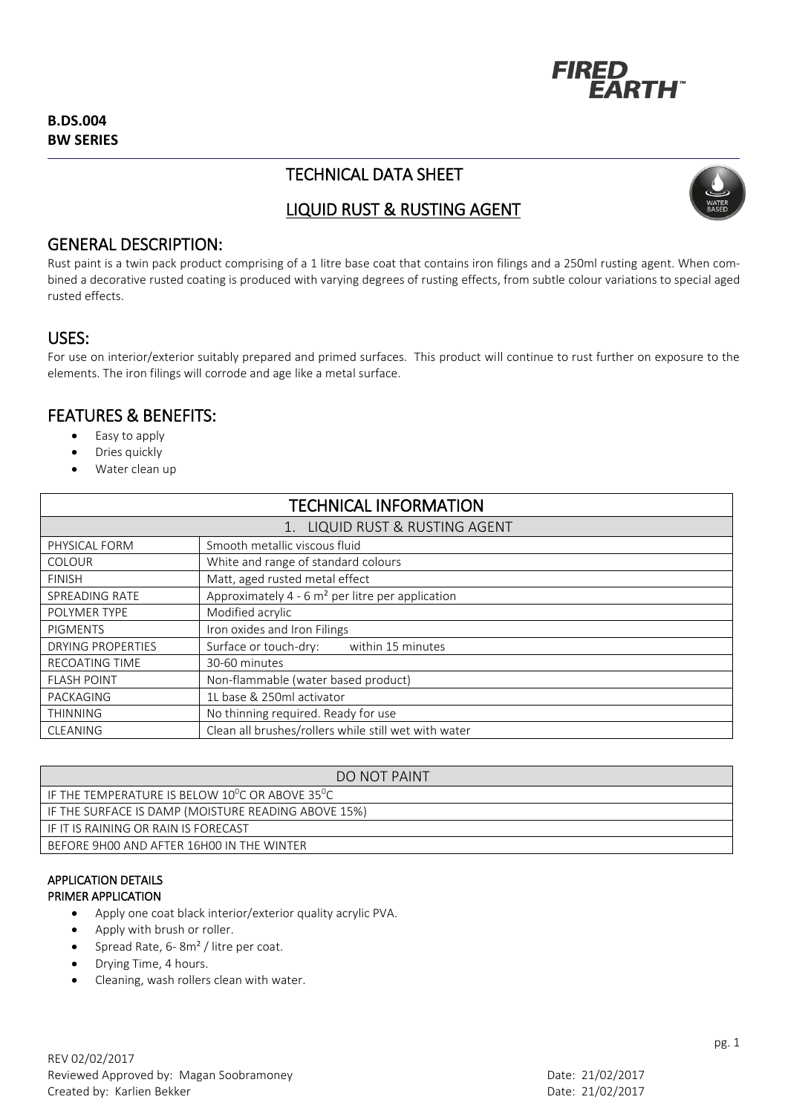

# TECHNICAL DATA SHEET



# LIQUID RUST & RUSTING AGENT

## GENERAL DESCRIPTION:

Rust paint is a twin pack product comprising of a 1 litre base coat that contains iron filings and a 250ml rusting agent. When combined a decorative rusted coating is produced with varying degrees of rusting effects, from subtle colour variations to special aged rusted effects.

## USES:

For use on interior/exterior suitably prepared and primed surfaces. This product will continue to rust further on exposure to the elements. The iron filings will corrode and age like a metal surface.

## FEATURES & BENEFITS:

- Easy to apply
- Dries quickly
- Water clean up

| <b>TECHNICAL INFORMATION</b> |                                                      |
|------------------------------|------------------------------------------------------|
| LIQUID RUST & RUSTING AGENT  |                                                      |
| PHYSICAL FORM                | Smooth metallic viscous fluid                        |
| <b>COLOUR</b>                | White and range of standard colours                  |
| <b>FINISH</b>                | Matt, aged rusted metal effect                       |
| SPREADING RATE               | Approximately 4 - 6 $m2$ per litre per application   |
| POLYMER TYPE                 | Modified acrylic                                     |
| <b>PIGMENTS</b>              | Iron oxides and Iron Filings                         |
| <b>DRYING PROPERTIES</b>     | Surface or touch-dry:<br>within 15 minutes           |
| <b>RECOATING TIME</b>        | 30-60 minutes                                        |
| <b>FLASH POINT</b>           | Non-flammable (water based product)                  |
| PACKAGING                    | 1L base & 250ml activator                            |
| <b>THINNING</b>              | No thinning required. Ready for use                  |
| <b>CLEANING</b>              | Clean all brushes/rollers while still wet with water |

| DO NOT PAINT                                                             |
|--------------------------------------------------------------------------|
| IF THE TEMPERATURE IS BELOW 10 <sup>0</sup> C OR ABOVE 35 <sup>0</sup> C |
| I IF THE SURFACE IS DAMP (MOISTURE READING ABOVE 15%)                    |
| LIF IT IS RAINING OR RAIN IS FORECAST                                    |
| BEFORE 9H00 AND AFTER 16H00 IN THE WINTER                                |

#### APPLICATION DETAILS PRIMER APPLICATION

- Apply one coat black interior/exterior quality acrylic PVA.
- Apply with brush or roller.
- Spread Rate, 6- 8m² / litre per coat.
- Drying Time, 4 hours.
- Cleaning, wash rollers clean with water.